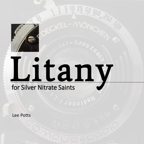

## Litany

## for Silver Nitrate Saints

Lee Potts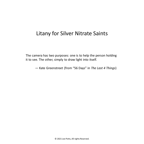## Litany for Silver Nitrate Saints

The camera has two purposes: one is to help the person holding it to see. The other, simply to draw light into itself.

— Kate Greenstreet (from "56 Days" in *The Last 4 Things*)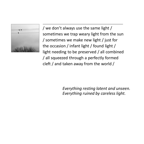

/ we don't always use the same light / sometimes we trap weary light from the sun / sometimes we make new light / just for the occasion / infant light / found light / light needing to be preserved / all combined / all squeezed through a perfectly formed cleft / and taken away from the world /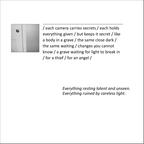

/ each camera carries secrets / each holds everything given / but keeps it secret / like a body in a grave / the same close dark / the same waiting / changes you cannot know / a grave waiting for light to break in / for a thief / for an angel /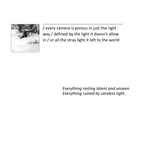

/ every camera is porous in just the right way / defined by the light it doesn't allow in / or all the stray light it left to the world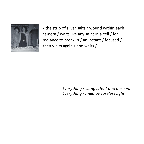

/ the strip of silver salts / wound within each camera / waits like any saint in a cell / for radiance to break in / an instant / focused / then waits again / and waits /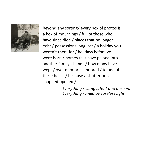

beyond any sorting/ every box of photos is a box of mournings / full of those who have since died / places that no longer exist / possessions long lost / a holiday you weren't there for / holidays before you were born / homes that have passed into another family's hands / how many have wept / over memories moored / to one of these boxes / because a shutter once snapped opened /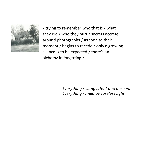

/ trying to remember who that is / what they did / who they hurt / secrets accrete around photographs / as soon as their moment / begins to recede / only a growing silence is to be expected / there's an alchemy in forgetting /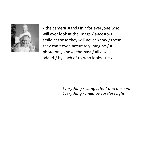

/ the camera stands in / for everyone who will ever look at the image / ancestors smile at those they will never know / those they can't even accurately imagine / a photo only knows the past / all else is added / by each of us who looks at it /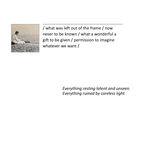

/ what was left out of the frame / now never to be known / what a wonderful a gift to be given / permission to imagine whatever we want /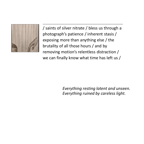

/ saints of silver nitrate / bless us through a photograph's patience / inherent stasis / exposing more than anything else / the brutality of all those hours / and by removing motion's relentless distraction / we can finally know what time has left us /